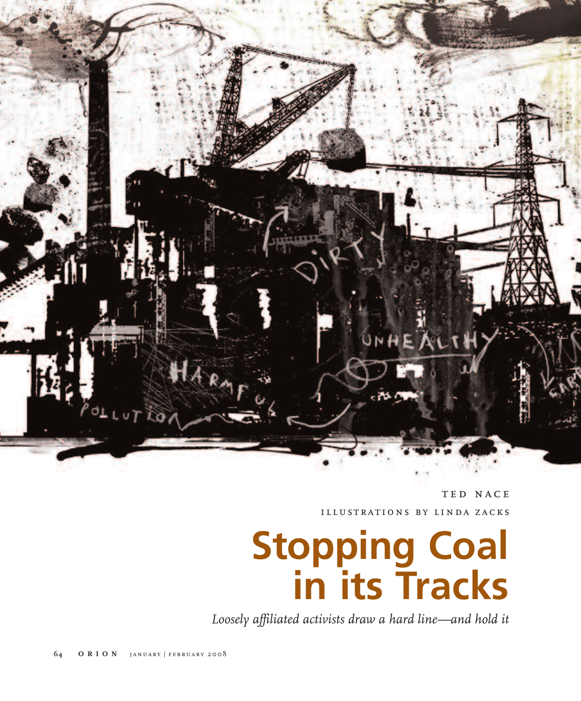

TED NACE illustrations by linda zacks

# **Stopping Coal in its Tracks**

*Loosely affiliated activists draw a hard line—and hold it*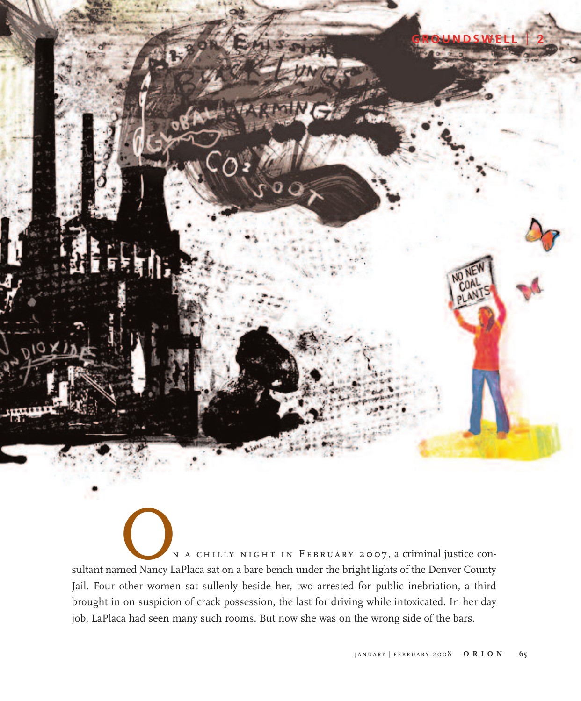N A CHILLY NIGHT IN FEBRUARY 2007, a criminal justice con-<br>sultant named Nancy LaPlaca sat on a bare bench under the bright lights of the Denver County Jail. Four other women sat sullenly beside her, two arrested for public inebriation, a third brought in on suspicion of crack possession, the last for driving while intoxicated. In her day job, LaPlaca had seen many such rooms. But now she was on the wrong side of the bars.

**GROUNDSWELL** <sup>l</sup> **2**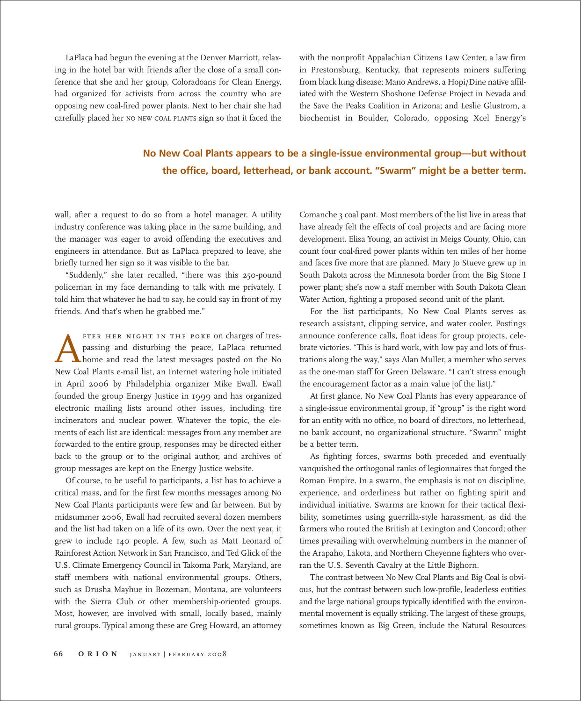LaPlaca had begun the evening at the Denver Marriott, relaxing in the hotel bar with friends after the close of a small conference that she and her group, Coloradoans for Clean Energy, had organized for activists from across the country who are opposing new coal-fired power plants. Next to her chair she had carefully placed her NO NEW COAL PLANTS sign so that it faced the with the nonprofit Appalachian Citizens Law Center, a law firm in Prestonsburg, Kentucky, that represents miners suffering from black lung disease; Mano Andrews, a Hopi/Dine native affiliated with the Western Shoshone Defense Project in Nevada and the Save the Peaks Coalition in Arizona; and Leslie Glustrom, a biochemist in Boulder, Colorado, opposing Xcel Energy's

### **No New Coal Plants appears to be a single-issue environmental group—but without the office, board, letterhead, or bank account. "Swarm" might be a better term.**

wall, after a request to do so from a hotel manager. A utility industry conference was taking place in the same building, and the manager was eager to avoid offending the executives and engineers in attendance. But as LaPlaca prepared to leave, she briefly turned her sign so it was visible to the bar.

"Suddenly," she later recalled, "there was this 250-pound policeman in my face demanding to talk with me privately. I told him that whatever he had to say, he could say in front of my friends. And that's when he grabbed me."

FTER HER NIGHT IN THE POKE on charges of tres-<br>passing and disturbing the peace, LaPlaca returned<br>home and read the latest messages posted on the No<br>New Coal Plants e-mail list an Internet watering hole initiated passing and disturbing the peace, LaPlaca returned home and read the latest messages posted on the No New Coal Plants e-mail list, an Internet watering hole initiated in April 2006 by Philadelphia organizer Mike Ewall. Ewall founded the group Energy Justice in 1999 and has organized electronic mailing lists around other issues, including tire incinerators and nuclear power. Whatever the topic, the elements of each list are identical: messages from any member are forwarded to the entire group, responses may be directed either back to the group or to the original author, and archives of group messages are kept on the Energy Justice website.

Of course, to be useful to participants, a list has to achieve a critical mass, and for the first few months messages among No New Coal Plants participants were few and far between. But by midsummer 2006, Ewall had recruited several dozen members and the list had taken on a life of its own. Over the next year, it grew to include 140 people. A few, such as Matt Leonard of Rainforest Action Network in San Francisco, and Ted Glick of the U.S. Climate Emergency Council in Takoma Park, Maryland, are staff members with national environmental groups. Others, such as Drusha Mayhue in Bozeman, Montana, are volunteers with the Sierra Club or other membership-oriented groups. Most, however, are involved with small, locally based, mainly rural groups. Typical among these are Greg Howard, an attorney Comanche 3 coal pant. Most members of the list live in areas that have already felt the effects of coal projects and are facing more development. Elisa Young, an activist in Meigs County, Ohio, can count four coal-fired power plants within ten miles of her home and faces five more that are planned. Mary Jo Stueve grew up in South Dakota across the Minnesota border from the Big Stone I power plant; she's now a staff member with South Dakota Clean Water Action, fighting a proposed second unit of the plant.

For the list participants, No New Coal Plants serves as research assistant, clipping service, and water cooler. Postings announce conference calls, float ideas for group projects, celebrate victories. "This is hard work, with low pay and lots of frustrations along the way," says Alan Muller, a member who serves as the one-man staff for Green Delaware. "I can't stress enough the encouragement factor as a main value [of the list]."

At first glance, No New Coal Plants has every appearance of a single-issue environmental group, if "group" is the right word for an entity with no office, no board of directors, no letterhead, no bank account, no organizational structure. "Swarm" might be a better term.

As fighting forces, swarms both preceded and eventually vanquished the orthogonal ranks of legionnaires that forged the Roman Empire. In a swarm, the emphasis is not on discipline, experience, and orderliness but rather on fighting spirit and individual initiative. Swarms are known for their tactical flexibility, sometimes using guerrilla-style harassment, as did the farmers who routed the British at Lexington and Concord; other times prevailing with overwhelming numbers in the manner of the Arapaho, Lakota, and Northern Cheyenne fighters who overran the U.S. Seventh Cavalry at the Little Bighorn.

The contrast between No New Coal Plants and Big Coal is obvious, but the contrast between such low-profile, leaderless entities and the large national groups typically identified with the environmental movement is equally striking. The largest of these groups, sometimes known as Big Green, include the Natural Resources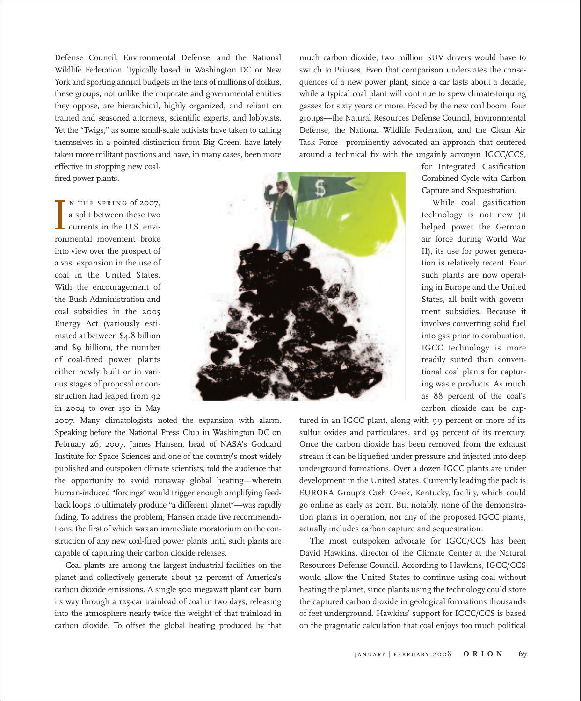Defense Council, Environmental Defense, and the National Wildlife Federation. Typically based in Washington DC or New York and sporting annual budgets in the tens of millions of dollars, these groups, not unlike the corporate and governmental entities they oppose, are hierarchical, highly organized, and reliant on trained and seasoned attorneys, scientific experts, and lobbyists. Yet the "Twigs," as some small-scale activists have taken to calling themselves in a pointed distinction from Big Green, have lately taken more militant positions and have, in many cases, been more effective in stopping new coal-

fired power plants.

I N THE SPRING of 2007,<br>a split between these two<br>currents in the U.S. envi-<br>ronmental movement broke n the spring of 2007, a split between these two currents in the U.S. enviinto view over the prospect of a vast expansion in the use of coal in the United States. With the encouragement of the Bush Administration and coal subsidies in the 2005 Energy Act (variously estimated at between \$4.8 billion and \$9 billion), the number of coal-fired power plants either newly built or in various stages of proposal or construction had leaped from 92 in 2004 to over 150 in May



2007. Many climatologists noted the expansion with alarm. Speaking before the National Press Club in Washington DC on February 26, 2007, James Hansen, head of NASA's Goddard Institute for Space Sciences and one of the country's most widely published and outspoken climate scientists, told the audience that the opportunity to avoid runaway global heating—wherein human-induced "forcings" would trigger enough amplifying feedback loops to ultimately produce "a different planet"—was rapidly fading. To address the problem, Hansen made five recommendations, the first of which was an immediate moratorium on the construction of any new coal-fired power plants until such plants are capable of capturing their carbon dioxide releases.

Coal plants are among the largest industrial facilities on the planet and collectively generate about 32 percent of America's carbon dioxide emissions. A single 500 megawatt plant can burn its way through a 125-car trainload of coal in two days, releasing into the atmosphere nearly twice the weight of that trainload in carbon dioxide. To offset the global heating produced by that much carbon dioxide, two million SUV drivers would have to switch to Priuses. Even that comparison understates the consequences of a new power plant, since a car lasts about a decade, while a typical coal plant will continue to spew climate-torquing gasses for sixty years or more. Faced by the new coal boom, four groups—the Natural Resources Defense Council, Environmental Defense, the National Wildlife Federation, and the Clean Air Task Force—prominently advocated an approach that centered around a technical fix with the ungainly acronym IGCC/CCS,

> for Integrated Gasification Combined Cycle with Carbon Capture and Sequestration.

> While coal gasification technology is not new (it helped power the German air force during World War II), its use for power generation is relatively recent. Four such plants are now operating in Europe and the United States, all built with government subsidies. Because it involves converting solid fuel into gas prior to combustion, IGCC technology is more readily suited than conventional coal plants for capturing waste products. As much as 88 percent of the coal's carbon dioxide can be cap-

tured in an IGCC plant, along with 99 percent or more of its sulfur oxides and particulates, and 95 percent of its mercury. Once the carbon dioxide has been removed from the exhaust stream it can be liquefied under pressure and injected into deep underground formations. Over a dozen IGCC plants are under development in the United States. Currently leading the pack is EURORA Group's Cash Creek, Kentucky, facility, which could go online as early as 2011. But notably, none of the demonstration plants in operation, nor any of the proposed IGCC plants, actually includes carbon capture and sequestration.

The most outspoken advocate for IGCC/CCS has been David Hawkins, director of the Climate Center at the Natural Resources Defense Council. According to Hawkins, IGCC/CCS would allow the United States to continue using coal without heating the planet, since plants using the technology could store the captured carbon dioxide in geological formations thousands of feet underground. Hawkins' support for IGCC/CCS is based on the pragmatic calculation that coal enjoys too much political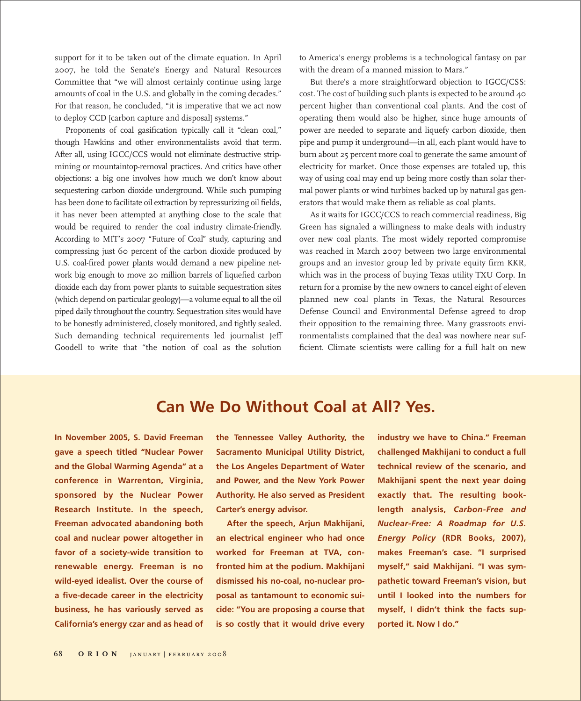support for it to be taken out of the climate equation. In April 2007, he told the Senate's Energy and Natural Resources Committee that "we will almost certainly continue using large amounts of coal in the U.S. and globally in the coming decades." For that reason, he concluded, "it is imperative that we act now to deploy CCD [carbon capture and disposal] systems."

Proponents of coal gasification typically call it "clean coal," though Hawkins and other environmentalists avoid that term. After all, using IGCC/CCS would not eliminate destructive stripmining or mountaintop-removal practices. And critics have other objections: a big one involves how much we don't know about sequestering carbon dioxide underground. While such pumping has been done to facilitate oil extraction by repressurizing oil fields, it has never been attempted at anything close to the scale that would be required to render the coal industry climate-friendly. According to MIT's 2007 "Future of Coal" study, capturing and compressing just 60 percent of the carbon dioxide produced by U.S. coal-fired power plants would demand a new pipeline network big enough to move 20 million barrels of liquefied carbon dioxide each day from power plants to suitable sequestration sites (which depend on particular geology)—a volume equal to all the oil piped daily throughout the country. Sequestration sites would have to be honestly administered, closely monitored, and tightly sealed. Such demanding technical requirements led journalist Jeff Goodell to write that "the notion of coal as the solution to America's energy problems is a technological fantasy on par with the dream of a manned mission to Mars."

But there's a more straightforward objection to IGCC/CSS: cost. The cost of building such plants is expected to be around 40 percent higher than conventional coal plants. And the cost of operating them would also be higher, since huge amounts of power are needed to separate and liquefy carbon dioxide, then pipe and pump it underground—in all, each plant would have to burn about 25 percent more coal to generate the same amount of electricity for market. Once those expenses are totaled up, this way of using coal may end up being more costly than solar thermal power plants or wind turbines backed up by natural gas generators that would make them as reliable as coal plants.

As it waits for IGCC/CCS to reach commercial readiness, Big Green has signaled a willingness to make deals with industry over new coal plants. The most widely reported compromise was reached in March 2007 between two large environmental groups and an investor group led by private equity firm KKR, which was in the process of buying Texas utility TXU Corp. In return for a promise by the new owners to cancel eight of eleven planned new coal plants in Texas, the Natural Resources Defense Council and Environmental Defense agreed to drop their opposition to the remaining three. Many grassroots environmentalists complained that the deal was nowhere near sufficient. Climate scientists were calling for a full halt on new

## **Can We Do Without Coal at All? Yes.**

**In November 2005, S. David Freeman gave a speech titled "Nuclear Power and the Global Warming Agenda" at a conference in Warrenton, Virginia, sponsored by the Nuclear Power Research Institute. In the speech, Freeman advocated abandoning both coal and nuclear power altogether in favor of a society-wide transition to renewable energy. Freeman is no wild-eyed idealist. Over the course of a five-decade career in the electricity business, he has variously served as California's energy czar and as head of** **the Tennessee Valley Authority, the Sacramento Municipal Utility District, the Los Angeles Department of Water and Power, and the New York Power Authority. He also served as President Carter's energy advisor.**

**After the speech, Arjun Makhijani, an electrical engineer who had once worked for Freeman at TVA, confronted him at the podium. Makhijani dismissed his no-coal, no-nuclear proposal as tantamount to economic suicide: "You are proposing a course that is so costly that it would drive every** **industry we have to China." Freeman challenged Makhijani to conduct a full technical review of the scenario, and Makhijani spent the next year doing exactly that. The resulting booklength analysis,** *Carbon-Free and Nuclear-Free: A Roadmap for U.S. Energy Policy* **(RDR Books, 2007), makes Freeman's case. "I surprised myself," said Makhijani. "I was sympathetic toward Freeman's vision, but until I looked into the numbers for myself, I didn't think the facts supported it. Now I do."**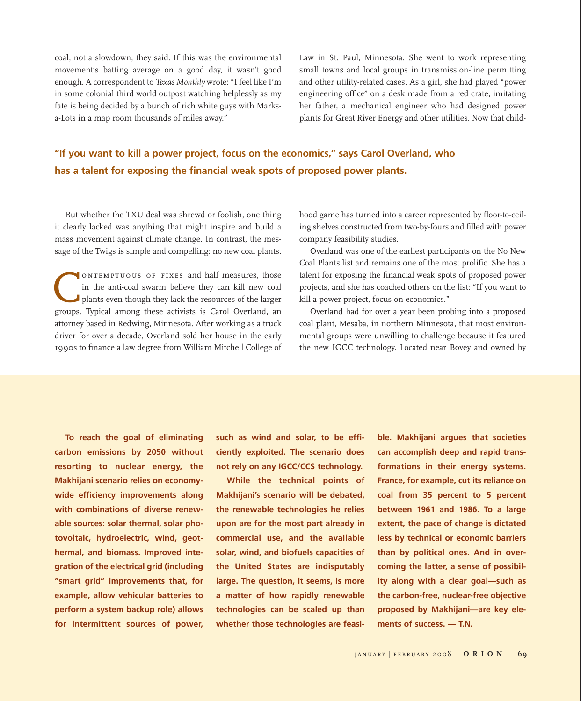coal, not a slowdown, they said. If this was the environmental movement's batting average on a good day, it wasn't good enough. A correspondent to *Texas Monthly* wrote: "I feel like I'm in some colonial third world outpost watching helplessly as my fate is being decided by a bunch of rich white guys with Marksa-Lots in a map room thousands of miles away."

Law in St. Paul, Minnesota. She went to work representing small towns and local groups in transmission-line permitting and other utility-related cases. As a girl, she had played "power engineering office" on a desk made from a red crate, imitating her father, a mechanical engineer who had designed power plants for Great River Energy and other utilities. Now that child-

### **"If you want to kill a power project, focus on the economics," says Carol Overland, who has a talent for exposing the financial weak spots of proposed power plants.**

But whether the TXU deal was shrewd or foolish, one thing it clearly lacked was anything that might inspire and build a mass movement against climate change. In contrast, the message of the Twigs is simple and compelling: no new coal plants.

ONTEMPTUOUS OF FIXES and half measures, those<br>in the anti-coal swarm believe they can kill new coal<br>plants even though they lack the resources of the larger<br>groups. Typical among these activists is Carol Overland, an in the anti-coal swarm believe they can kill new coal plants even though they lack the resources of the larger groups. Typical among these activists is Carol Overland, an attorney based in Redwing, Minnesota. After working as a truck driver for over a decade, Overland sold her house in the early 1990s to finance a law degree from William Mitchell College of

hood game has turned into a career represented by floor-to-ceiling shelves constructed from two-by-fours and filled with power company feasibility studies.

Overland was one of the earliest participants on the No New Coal Plants list and remains one of the most prolific. She has a talent for exposing the financial weak spots of proposed power projects, and she has coached others on the list: "If you want to kill a power project, focus on economics."

Overland had for over a year been probing into a proposed coal plant, Mesaba, in northern Minnesota, that most environmental groups were unwilling to challenge because it featured the new IGCC technology. Located near Bovey and owned by

**To reach the goal of eliminating carbon emissions by 2050 without resorting to nuclear energy, the Makhijani scenario relies on economywide efficiency improvements along with combinations of diverse renewable sources: solar thermal, solar photovoltaic, hydroelectric, wind, geothermal, and biomass. Improved integration of the electrical grid (including "smart grid" improvements that, for example, allow vehicular batteries to perform a system backup role) allows for intermittent sources of power,**

**such as wind and solar, to be efficiently exploited. The scenario does not rely on any IGCC/CCS technology.**

**While the technical points of Makhijani's scenario will be debated, the renewable technologies he relies upon are for the most part already in commercial use, and the available solar, wind, and biofuels capacities of the United States are indisputably large. The question, it seems, is more a matter of how rapidly renewable technologies can be scaled up than whether those technologies are feasi-** **ble. Makhijani argues that societies can accomplish deep and rapid transformations in their energy systems. France, for example, cut its reliance on coal from 35 percent to 5 percent between 1961 and 1986. To a large extent, the pace of change is dictated less by technical or economic barriers than by political ones. And in overcoming the latter, a sense of possibility along with a clear goal—such as the carbon-free, nuclear-free objective proposed by Makhijani—are key elements of success. — T.N.**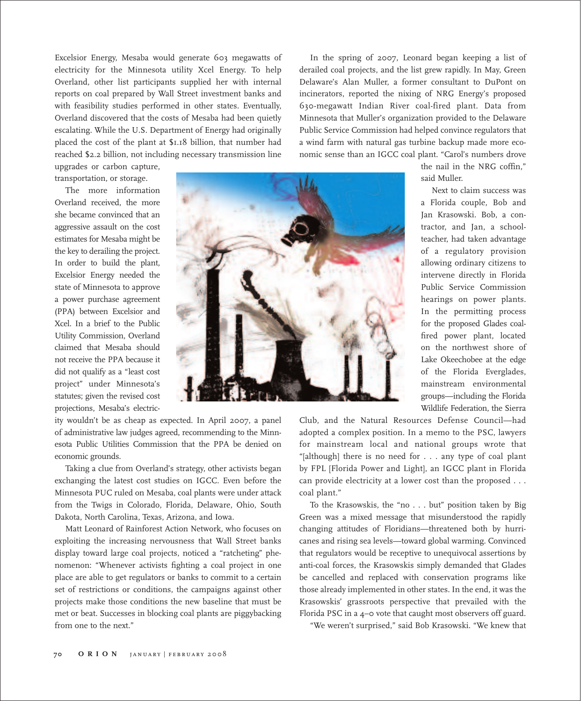Excelsior Energy, Mesaba would generate 603 megawatts of electricity for the Minnesota utility Xcel Energy. To help Overland, other list participants supplied her with internal reports on coal prepared by Wall Street investment banks and with feasibility studies performed in other states. Eventually, Overland discovered that the costs of Mesaba had been quietly escalating. While the U.S. Department of Energy had originally placed the cost of the plant at \$1.18 billion, that number had reached \$2.2 billion, not including necessary transmission line

In the spring of 2007, Leonard began keeping a list of derailed coal projects, and the list grew rapidly. In May, Green Delaware's Alan Muller, a former consultant to DuPont on incinerators, reported the nixing of NRG Energy's proposed 630-megawatt Indian River coal-fired plant. Data from Minnesota that Muller's organization provided to the Delaware Public Service Commission had helped convince regulators that a wind farm with natural gas turbine backup made more economic sense than an IGCC coal plant. "Carol's numbers drove

upgrades or carbon capture, transportation, or storage.

The more information Overland received, the more she became convinced that an aggressive assault on the cost estimates for Mesaba might be the key to derailing the project. In order to build the plant, Excelsior Energy needed the state of Minnesota to approve a power purchase agreement (PPA) between Excelsior and Xcel. In a brief to the Public Utility Commission, Overland claimed that Mesaba should not receive the PPA because it did not qualify as a "least cost project" under Minnesota's statutes; given the revised cost projections, Mesaba's electric-



ity wouldn't be as cheap as expected. In April 2007, a panel of administrative law judges agreed, recommending to the Minnesota Public Utilities Commission that the PPA be denied on economic grounds.

Taking a clue from Overland's strategy, other activists began exchanging the latest cost studies on IGCC. Even before the Minnesota PUC ruled on Mesaba, coal plants were under attack from the Twigs in Colorado, Florida, Delaware, Ohio, South Dakota, North Carolina, Texas, Arizona, and Iowa.

Matt Leonard of Rainforest Action Network, who focuses on exploiting the increasing nervousness that Wall Street banks display toward large coal projects, noticed a "ratcheting" phenomenon: "Whenever activists fighting a coal project in one place are able to get regulators or banks to commit to a certain set of restrictions or conditions, the campaigns against other projects make those conditions the new baseline that must be met or beat. Successes in blocking coal plants are piggybacking from one to the next."

the nail in the NRG coffin," said Muller.

Next to claim success was a Florida couple, Bob and Jan Krasowski. Bob, a contractor, and Jan, a schoolteacher, had taken advantage of a regulatory provision allowing ordinary citizens to intervene directly in Florida Public Service Commission hearings on power plants. In the permitting process for the proposed Glades coalfired power plant, located on the northwest shore of Lake Okeechobee at the edge of the Florida Everglades, mainstream environmental groups—including the Florida Wildlife Federation, the Sierra

Club, and the Natural Resources Defense Council—had adopted a complex position. In a memo to the PSC, lawyers for mainstream local and national groups wrote that "[although] there is no need for . . . any type of coal plant by FPL [Florida Power and Light], an IGCC plant in Florida can provide electricity at a lower cost than the proposed . . . coal plant."

To the Krasowskis, the "no . . . but" position taken by Big Green was a mixed message that misunderstood the rapidly changing attitudes of Floridians—threatened both by hurricanes and rising sea levels—toward global warming. Convinced that regulators would be receptive to unequivocal assertions by anti-coal forces, the Krasowskis simply demanded that Glades be cancelled and replaced with conservation programs like those already implemented in other states. In the end, it was the Krasowskis' grassroots perspective that prevailed with the Florida PSC in a 4–0 vote that caught most observers off guard.

"We weren't surprised," said Bob Krasowski. "We knew that